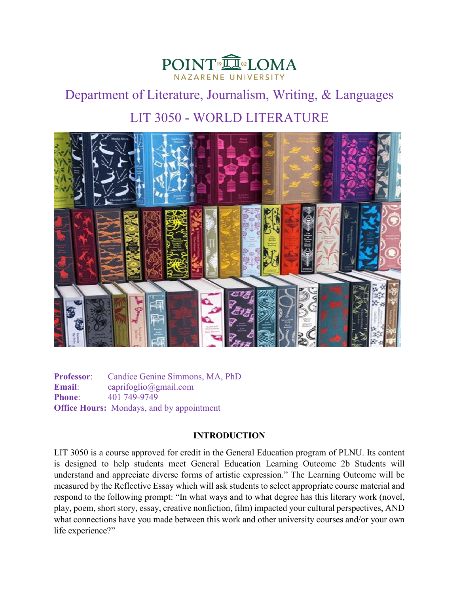

# Department of Literature, Journalism, Writing, & Languages LIT 3050 - WORLD LITERATURE



**Professor**: Candice Genine Simmons, MA, PhD **Email**: [caprifoglio@gmail.com](mailto:caprifoglio@gmail.com) **Phone:** 401 749-9749 **Office Hours:** Mondays, and by appointment

# **INTRODUCTION**

LIT 3050 is a course approved for credit in the General Education program of PLNU. Its content is designed to help students meet General Education Learning Outcome 2b Students will understand and appreciate diverse forms of artistic expression." The Learning Outcome will be measured by the Reflective Essay which will ask students to select appropriate course material and respond to the following prompt: "In what ways and to what degree has this literary work (novel, play, poem, short story, essay, creative nonfiction, film) impacted your cultural perspectives, AND what connections have you made between this work and other university courses and/or your own life experience?"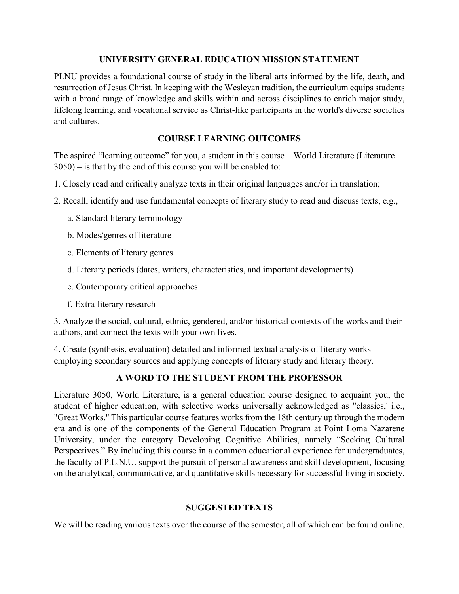## **UNIVERSITY GENERAL EDUCATION MISSION STATEMENT**

PLNU provides a foundational course of study in the liberal arts informed by the life, death, and resurrection of Jesus Christ. In keeping with the Wesleyan tradition, the curriculum equips students with a broad range of knowledge and skills within and across disciplines to enrich major study, lifelong learning, and vocational service as Christ-like participants in the world's diverse societies and cultures.

# **COURSE LEARNING OUTCOMES**

The aspired "learning outcome" for you, a student in this course – World Literature (Literature 3050) – is that by the end of this course you will be enabled to:

- 1. Closely read and critically analyze texts in their original languages and/or in translation;
- 2. Recall, identify and use fundamental concepts of literary study to read and discuss texts, e.g.,
	- a. Standard literary terminology
	- b. Modes/genres of literature
	- c. Elements of literary genres
	- d. Literary periods (dates, writers, characteristics, and important developments)
	- e. Contemporary critical approaches
	- f. Extra-literary research

3. Analyze the social, cultural, ethnic, gendered, and/or historical contexts of the works and their authors, and connect the texts with your own lives.

4. Create (synthesis, evaluation) detailed and informed textual analysis of literary works employing secondary sources and applying concepts of literary study and literary theory.

# **A WORD TO THE STUDENT FROM THE PROFESSOR**

Literature 3050, World Literature, is a general education course designed to acquaint you, the student of higher education, with selective works universally acknowledged as "classics,' i.e., "Great Works." This particular course features works from the 18th century up through the modern era and is one of the components of the General Education Program at Point Loma Nazarene University, under the category Developing Cognitive Abilities, namely "Seeking Cultural Perspectives." By including this course in a common educational experience for undergraduates, the faculty of P.L.N.U. support the pursuit of personal awareness and skill development, focusing on the analytical, communicative, and quantitative skills necessary for successful living in society.

# **SUGGESTED TEXTS**

We will be reading various texts over the course of the semester, all of which can be found online.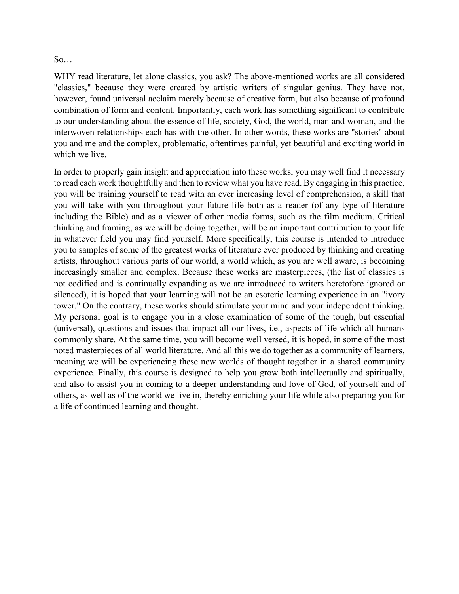## So…

WHY read literature, let alone classics, you ask? The above-mentioned works are all considered "classics," because they were created by artistic writers of singular genius. They have not, however, found universal acclaim merely because of creative form, but also because of profound combination of form and content. Importantly, each work has something significant to contribute to our understanding about the essence of life, society, God, the world, man and woman, and the interwoven relationships each has with the other. In other words, these works are "stories" about you and me and the complex, problematic, oftentimes painful, yet beautiful and exciting world in which we live.

In order to properly gain insight and appreciation into these works, you may well find it necessary to read each work thoughtfully and then to review what you have read. By engaging in this practice, you will be training yourself to read with an ever increasing level of comprehension, a skill that you will take with you throughout your future life both as a reader (of any type of literature including the Bible) and as a viewer of other media forms, such as the film medium. Critical thinking and framing, as we will be doing together, will be an important contribution to your life in whatever field you may find yourself. More specifically, this course is intended to introduce you to samples of some of the greatest works of literature ever produced by thinking and creating artists, throughout various parts of our world, a world which, as you are well aware, is becoming increasingly smaller and complex. Because these works are masterpieces, (the list of classics is not codified and is continually expanding as we are introduced to writers heretofore ignored or silenced), it is hoped that your learning will not be an esoteric learning experience in an "ivory tower." On the contrary, these works should stimulate your mind and your independent thinking. My personal goal is to engage you in a close examination of some of the tough, but essential (universal), questions and issues that impact all our lives, i.e., aspects of life which all humans commonly share. At the same time, you will become well versed, it is hoped, in some of the most noted masterpieces of all world literature. And all this we do together as a community of learners, meaning we will be experiencing these new worlds of thought together in a shared community experience. Finally, this course is designed to help you grow both intellectually and spiritually, and also to assist you in coming to a deeper understanding and love of God, of yourself and of others, as well as of the world we live in, thereby enriching your life while also preparing you for a life of continued learning and thought.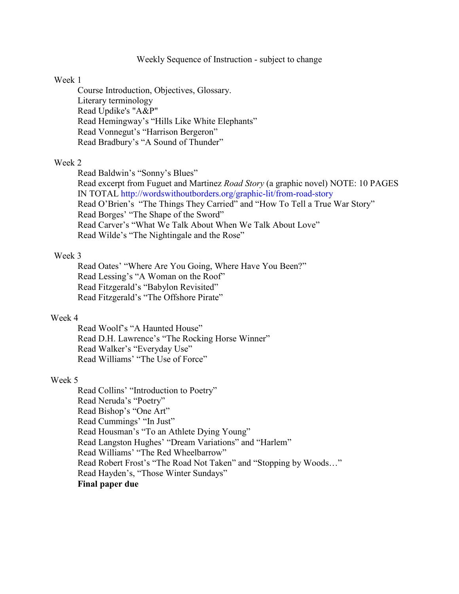## Weekly Sequence of Instruction - subject to change

#### Week 1

Course Introduction, Objectives, Glossary. Literary terminology Read Updike's "A&P" Read Hemingway's "Hills Like White Elephants" Read Vonnegut's "Harrison Bergeron" Read Bradbury's "A Sound of Thunder"

### Week 2

Read Baldwin's "Sonny's Blues" Read excerpt from Fuguet and Martinez *Road Story* (a graphic novel) NOTE: 10 PAGES IN TOTAL<http://wordswithoutborders.org/graphic-lit/from-road-story> Read O'Brien's "The Things They Carried" and "How To Tell a True War Story" Read Borges' "The Shape of the Sword" Read Carver's "What We Talk About When We Talk About Love" Read Wilde's "The Nightingale and the Rose"

### Week 3

Read Oates' "Where Are You Going, Where Have You Been?" Read Lessing's "A Woman on the Roof" Read Fitzgerald's "Babylon Revisited" Read Fitzgerald's "The Offshore Pirate"

## Week 4

Read Woolf's "A Haunted House" Read D.H. Lawrence's "The Rocking Horse Winner" Read Walker's "Everyday Use" Read Williams' "The Use of Force"

#### Week 5

Read Collins' "Introduction to Poetry" Read Neruda's "Poetry" Read Bishop's "One Art" Read Cummings' "In Just" Read Housman's "To an Athlete Dying Young" Read Langston Hughes' "Dream Variations" and "Harlem" Read Williams' "The Red Wheelbarrow" Read Robert Frost's "The Road Not Taken" and "Stopping by Woods…" Read Hayden's, "Those Winter Sundays" **Final paper due**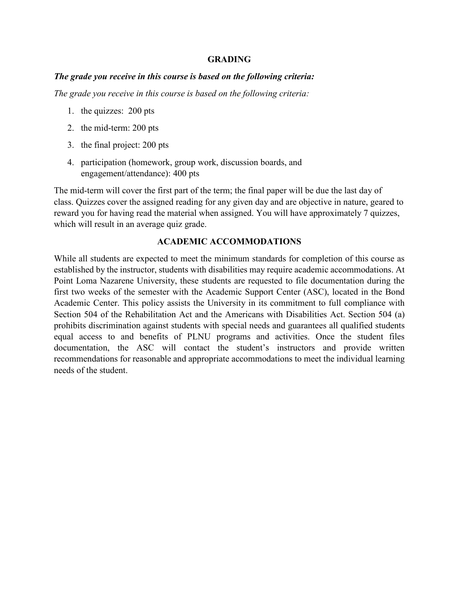## **GRADING**

## *The grade you receive in this course is based on the following criteria:*

*The grade you receive in this course is based on the following criteria:*

- 1. the quizzes: 200 pts
- 2. the mid-term: 200 pts
- 3. the final project: 200 pts
- 4. participation (homework, group work, discussion boards, and engagement/attendance): 400 pts

The mid-term will cover the first part of the term; the final paper will be due the last day of class. Quizzes cover the assigned reading for any given day and are objective in nature, geared to reward you for having read the material when assigned. You will have approximately 7 quizzes, which will result in an average quiz grade.

## **ACADEMIC ACCOMMODATIONS**

While all students are expected to meet the minimum standards for completion of this course as established by the instructor, students with disabilities may require academic accommodations. At Point Loma Nazarene University, these students are requested to file documentation during the first two weeks of the semester with the Academic Support Center (ASC), located in the Bond Academic Center. This policy assists the University in its commitment to full compliance with Section 504 of the Rehabilitation Act and the Americans with Disabilities Act. Section 504 (a) prohibits discrimination against students with special needs and guarantees all qualified students equal access to and benefits of PLNU programs and activities. Once the student files documentation, the ASC will contact the student's instructors and provide written recommendations for reasonable and appropriate accommodations to meet the individual learning needs of the student.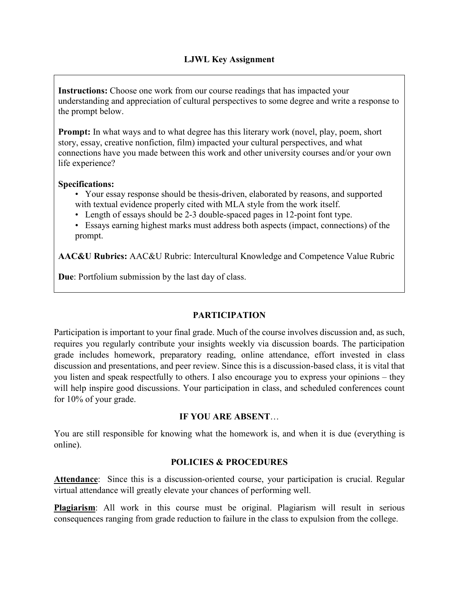**Instructions:** Choose one work from our course readings that has impacted your understanding and appreciation of cultural perspectives to some degree and write a response to the prompt below.

**Prompt:** In what ways and to what degree has this literary work (novel, play, poem, short story, essay, creative nonfiction, film) impacted your cultural perspectives, and what connections have you made between this work and other university courses and/or your own life experience?

# **Specifications:**

- Your essay response should be thesis-driven, elaborated by reasons, and supported with textual evidence properly cited with MLA style from the work itself.
- Length of essays should be 2-3 double-spaced pages in 12-point font type.
- Essays earning highest marks must address both aspects (impact, connections) of the prompt.

**AAC&U Rubrics:** AAC&U Rubric: Intercultural Knowledge and Competence Value Rubric

**Due**: Portfolium submission by the last day of class.

# **PARTICIPATION**

Participation is important to your final grade. Much of the course involves discussion and, as such, requires you regularly contribute your insights weekly via discussion boards. The participation grade includes homework, preparatory reading, online attendance, effort invested in class discussion and presentations, and peer review. Since this is a discussion-based class, it is vital that you listen and speak respectfully to others. I also encourage you to express your opinions – they will help inspire good discussions. Your participation in class, and scheduled conferences count for 10% of your grade.

# **IF YOU ARE ABSENT**…

You are still responsible for knowing what the homework is, and when it is due (everything is online).

# **POLICIES & PROCEDURES**

**Attendance**: Since this is a discussion-oriented course, your participation is crucial. Regular virtual attendance will greatly elevate your chances of performing well.

**Plagiarism**: All work in this course must be original. Plagiarism will result in serious consequences ranging from grade reduction to failure in the class to expulsion from the college.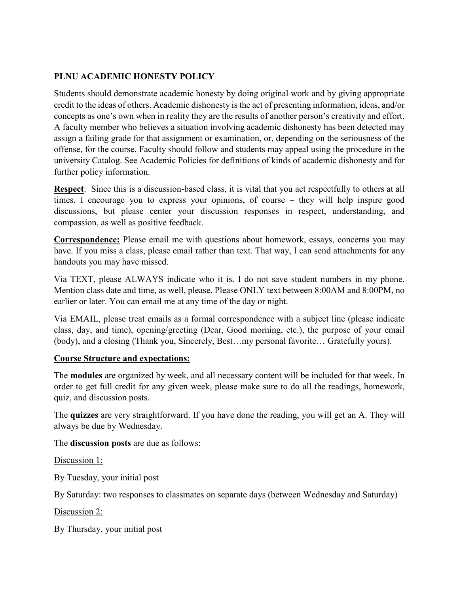# **PLNU ACADEMIC HONESTY POLICY**

Students should demonstrate academic honesty by doing original work and by giving appropriate credit to the ideas of others. Academic dishonesty is the act of presenting information, ideas, and/or concepts as one's own when in reality they are the results of another person's creativity and effort. A faculty member who believes a situation involving academic dishonesty has been detected may assign a failing grade for that assignment or examination, or, depending on the seriousness of the offense, for the course. Faculty should follow and students may appeal using the procedure in the university Catalog. See Academic Policies for definitions of kinds of academic dishonesty and for further policy information.

**Respect**: Since this is a discussion-based class, it is vital that you act respectfully to others at all times. I encourage you to express your opinions, of course – they will help inspire good discussions, but please center your discussion responses in respect, understanding, and compassion, as well as positive feedback.

**Correspondence:** Please email me with questions about homework, essays, concerns you may have. If you miss a class, please email rather than text. That way, I can send attachments for any handouts you may have missed.

Via TEXT, please ALWAYS indicate who it is. I do not save student numbers in my phone. Mention class date and time, as well, please. Please ONLY text between 8:00AM and 8:00PM, no earlier or later. You can email me at any time of the day or night.

Via EMAIL, please treat emails as a formal correspondence with a subject line (please indicate class, day, and time), opening/greeting (Dear, Good morning, etc.), the purpose of your email (body), and a closing (Thank you, Sincerely, Best…my personal favorite… Gratefully yours).

# **Course Structure and expectations:**

The **modules** are organized by week, and all necessary content will be included for that week. In order to get full credit for any given week, please make sure to do all the readings, homework, quiz, and discussion posts.

The **quizzes** are very straightforward. If you have done the reading, you will get an A. They will always be due by Wednesday.

The **discussion posts** are due as follows:

Discussion 1:

By Tuesday, your initial post

By Saturday: two responses to classmates on separate days (between Wednesday and Saturday)

Discussion 2:

By Thursday, your initial post